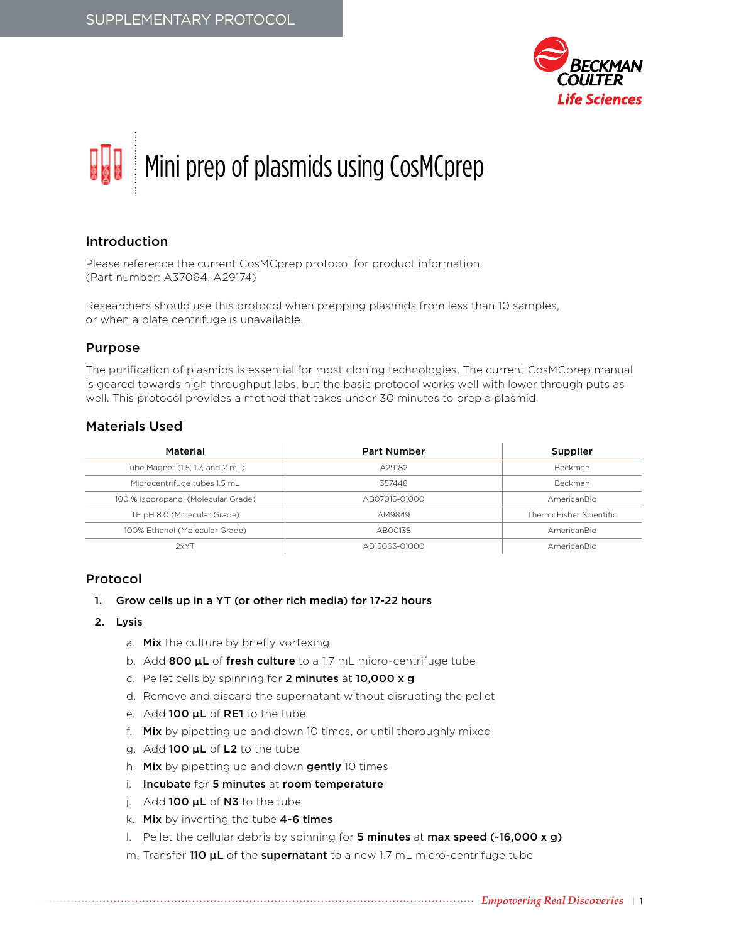

# Mini prep of plasmids using CosMCprep

# Introduction

Please reference the current CosMCprep protocol for product information. (Part number: A37064, A29174)

Researchers should use this protocol when prepping plasmids from less than 10 samples, or when a plate centrifuge is unavailable.

## Purpose

The purification of plasmids is essential for most cloning technologies. The current CosMCprep manual is geared towards high throughput labs, but the basic protocol works well with lower through puts as well. This protocol provides a method that takes under 30 minutes to prep a plasmid.

# Materials Used

| Material                            | <b>Part Number</b> | Supplier                |
|-------------------------------------|--------------------|-------------------------|
| Tube Magnet (1.5, 1.7, and 2 mL)    | A29182             | <b>Beckman</b>          |
| Microcentrifuge tubes 1.5 mL        | 357448             | <b>Beckman</b>          |
| 100 % Isopropanol (Molecular Grade) | AB07015-01000      | AmericanBio             |
| TE pH 8.0 (Molecular Grade)         | AM9849             | ThermoFisher Scientific |
| 100% Ethanol (Molecular Grade)      | AB00138            | AmericanBio             |
| 2xYT                                | AB15063-01000      | AmericanBio             |

# Protocol

- 1. Grow cells up in a YT (or other rich media) for 17-22 hours
- 2. Lysis
	- a. Mix the culture by briefly vortexing
	- b. Add 800  $\mu$ L of fresh culture to a 1.7 mL micro-centrifuge tube
	- c. Pellet cells by spinning for 2 minutes at 10,000 x g
	- d. Remove and discard the supernatant without disrupting the pellet
	- e. Add 100  $\mu$ L of RE1 to the tube
	- f. Mix by pipetting up and down 10 times, or until thoroughly mixed
	- g. Add 100 µL of L2 to the tube
	- h. Mix by pipetting up and down gently 10 times
	- i. Incubate for 5 minutes at room temperature
	- i. Add  $100 \mu L$  of  $N3$  to the tube
	- k. Mix by inverting the tube 4-6 times
	- l. Pellet the cellular debris by spinning for 5 minutes at max speed (~16,000 x g)
	- m. Transfer 110  $\mu$ L of the supernatant to a new 1.7 mL micro-centrifuge tube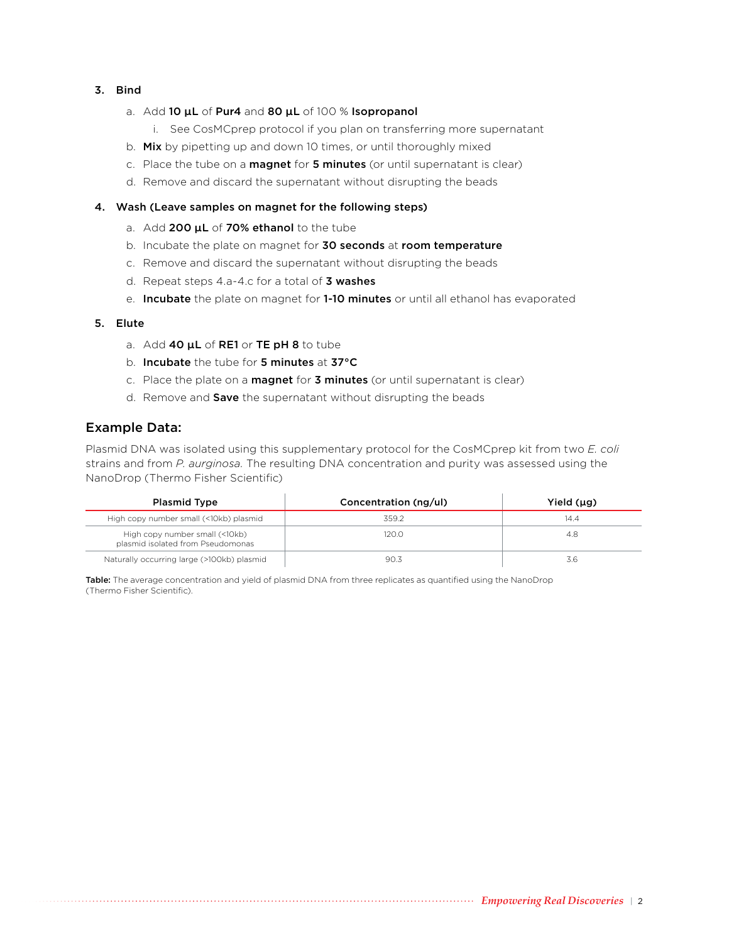### 3. Bind

- a. Add 10  $\mu$ L of Pur4 and 80  $\mu$ L of 100 % Isopropanol
	- i. See CosMCprep protocol if you plan on transferring more supernatant
- b. Mix by pipetting up and down 10 times, or until thoroughly mixed
- c. Place the tube on a magnet for 5 minutes (or until supernatant is clear)
- d. Remove and discard the supernatant without disrupting the beads

### 4. Wash (Leave samples on magnet for the following steps)

- a. Add 200  $\mu$ L of 70% ethanol to the tube
- b. Incubate the plate on magnet for 30 seconds at room temperature
- c. Remove and discard the supernatant without disrupting the beads
- d. Repeat steps 4.a-4.c for a total of 3 washes
- e. Incubate the plate on magnet for 1-10 minutes or until all ethanol has evaporated

### 5. Elute

- a. Add 40  $\mu$ L of RE1 or TE pH 8 to tube
- b. Incubate the tube for 5 minutes at 37°C
- c. Place the plate on a magnet for 3 minutes (or until supernatant is clear)
- d. Remove and Save the supernatant without disrupting the beads

## Example Data:

Plasmid DNA was isolated using this supplementary protocol for the CosMCprep kit from two *E. coli* strains and from *P. aurginosa.* The resulting DNA concentration and purity was assessed using the NanoDrop (Thermo Fisher Scientific)

| <b>Plasmid Type</b>                                                 | Concentration (ng/ul) | Yield (µg) |
|---------------------------------------------------------------------|-----------------------|------------|
| High copy number small (<10kb) plasmid                              | 359.2                 | 14.4       |
| High copy number small (<10kb)<br>plasmid isolated from Pseudomonas | 120.0                 | 4.8        |
| Naturally occurring large (>100kb) plasmid                          | 90.3                  | 3.b        |

Table: The average concentration and yield of plasmid DNA from three replicates as quantified using the NanoDrop (Thermo Fisher Scientific).